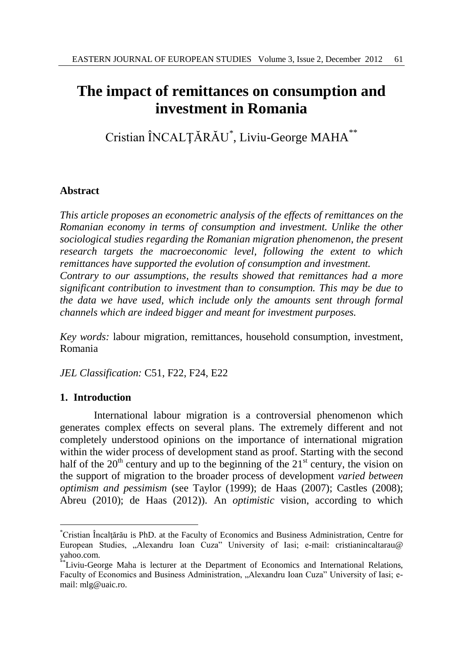# **The impact of remittances on consumption and investment in Romania**

Cristian ÎNCALŢĂRĂU\* , Liviu-George MAHA\*\*

# **Abstract**

*This article proposes an econometric analysis of the effects of remittances on the Romanian economy in terms of consumption and investment. Unlike the other sociological studies regarding the Romanian migration phenomenon, the present research targets the macroeconomic level, following the extent to which remittances have supported the evolution of consumption and investment. Contrary to our assumptions, the results showed that remittances had a more significant contribution to investment than to consumption. This may be due to the data we have used, which include only the amounts sent through formal channels which are indeed bigger and meant for investment purposes.* 

*Key words:* labour migration, remittances, household consumption, investment, Romania

*JEL Classification:* C51, F22, F24, E22

# **1. Introduction**

l

International labour migration is a controversial phenomenon which generates complex effects on several plans. The extremely different and not completely understood opinions on the importance of international migration within the wider process of development stand as proof. Starting with the second half of the  $20<sup>th</sup>$  century and up to the beginning of the  $21<sup>st</sup>$  century, the vision on the support of migration to the broader process of development *varied between optimism and pessimism* (see Taylor (1999); de Haas (2007); Castles (2008); Abreu (2010); de Haas (2012)). An *optimistic* vision, according to which

<sup>\*</sup>Cristian Încalţărău is PhD. at the Faculty of Economics and Business Administration, Centre for European Studies, "Alexandru Ioan Cuza" University of Iasi; e-mail: cristianincaltarau@ yahoo.com.

<sup>\*\*</sup>Liviu-George Maha is lecturer at the Department of Economics and International Relations, Faculty of Economics and Business Administration, "Alexandru Ioan Cuza" University of Iasi; email: mlg@uaic.ro.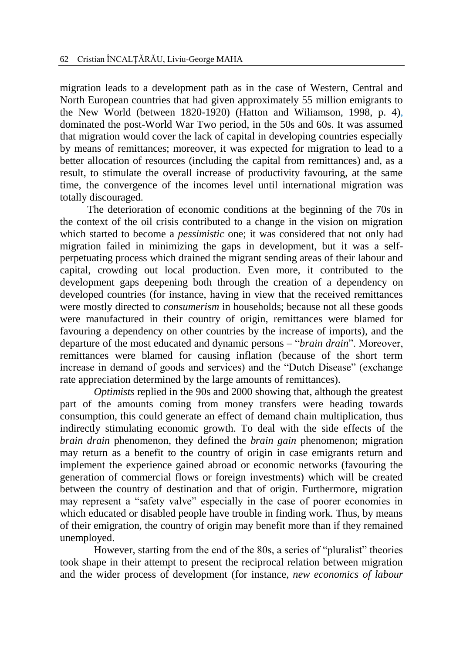migration leads to a development path as in the case of Western, Central and North European countries that had given approximately 55 million emigrants to the New World (between 1820-1920) (Hatton and Wiliamson, 1998, p. 4), dominated the post-World War Two period, in the 50s and 60s. It was assumed that migration would cover the lack of capital in developing countries especially by means of remittances; moreover, it was expected for migration to lead to a better allocation of resources (including the capital from remittances) and, as a result, to stimulate the overall increase of productivity favouring, at the same time, the convergence of the incomes level until international migration was totally discouraged.

The deterioration of economic conditions at the beginning of the 70s in the context of the oil crisis contributed to a change in the vision on migration which started to become a *pessimistic* one; it was considered that not only had migration failed in minimizing the gaps in development, but it was a selfperpetuating process which drained the migrant sending areas of their labour and capital, crowding out local production. Even more, it contributed to the development gaps deepening both through the creation of a dependency on developed countries (for instance, having in view that the received remittances were mostly directed to *consumerism* in households; because not all these goods were manufactured in their country of origin, remittances were blamed for favouring a dependency on other countries by the increase of imports), and the departure of the most educated and dynamic persons – "*brain drain*". Moreover, remittances were blamed for causing inflation (because of the short term increase in demand of goods and services) and the "Dutch Disease" (exchange rate appreciation determined by the large amounts of remittances).

*Optimists* replied in the 90s and 2000 showing that, although the greatest part of the amounts coming from money transfers were heading towards consumption, this could generate an effect of demand chain multiplication, thus indirectly stimulating economic growth. To deal with the side effects of the *brain drain* phenomenon, they defined the *brain gain* phenomenon; migration may return as a benefit to the country of origin in case emigrants return and implement the experience gained abroad or economic networks (favouring the generation of commercial flows or foreign investments) which will be created between the country of destination and that of origin. Furthermore, migration may represent a "safety valve" especially in the case of poorer economies in which educated or disabled people have trouble in finding work. Thus, by means of their emigration, the country of origin may benefit more than if they remained unemployed.

However, starting from the end of the 80s, a series of "pluralist" theories took shape in their attempt to present the reciprocal relation between migration and the wider process of development (for instance, *new economics of labour*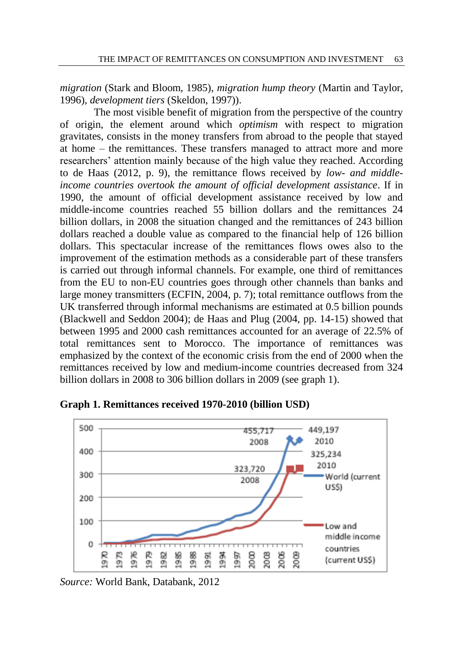*migration* (Stark and Bloom, 1985), *migration hump theory* (Martin and Taylor, 1996), *development tiers* (Skeldon, 1997)).

The most visible benefit of migration from the perspective of the country of origin, the element around which *optimism* with respect to migration gravitates, consists in the money transfers from abroad to the people that stayed at home – the remittances. These transfers managed to attract more and more researchers' attention mainly because of the high value they reached. According to de Haas (2012, p. 9), the remittance flows received by *low- and middleincome countries overtook the amount of official development assistance*. If in 1990, the amount of official development assistance received by low and middle-income countries reached 55 billion dollars and the remittances 24 billion dollars, in 2008 the situation changed and the remittances of 243 billion dollars reached a double value as compared to the financial help of 126 billion dollars. This spectacular increase of the remittances flows owes also to the improvement of the estimation methods as a considerable part of these transfers is carried out through informal channels. For example, one third of remittances from the EU to non-EU countries goes through other channels than banks and large money transmitters (ECFIN, 2004, p. 7); total remittance outflows from the UK transferred through informal mechanisms are estimated at 0.5 billion pounds (Blackwell and Seddon 2004); de Haas and Plug (2004, pp. 14-15) showed that between 1995 and 2000 cash remittances accounted for an average of 22.5% of total remittances sent to Morocco. The importance of remittances was emphasized by the context of the economic crisis from the end of 2000 when the remittances received by low and medium-income countries decreased from 324 billion dollars in 2008 to 306 billion dollars in 2009 (see graph 1).



**Graph 1. Remittances received 1970-2010 (billion USD)**

*Source:* World Bank, Databank, 2012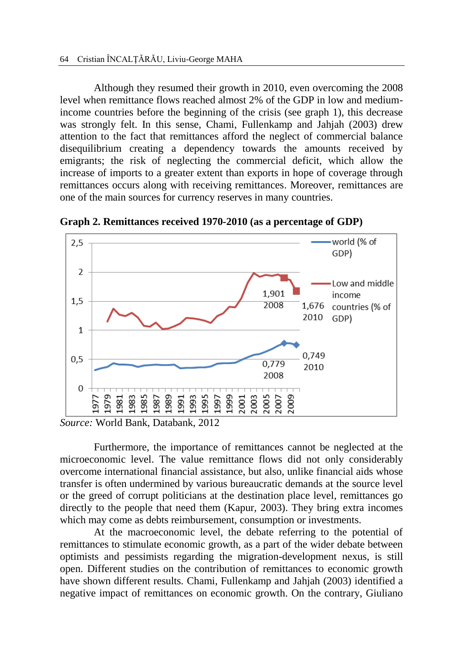Although they resumed their growth in 2010, even overcoming the 2008 level when remittance flows reached almost 2% of the GDP in low and mediumincome countries before the beginning of the crisis (see graph 1), this decrease was strongly felt. In this sense, Chami, Fullenkamp and Jahjah (2003) drew attention to the fact that remittances afford the neglect of commercial balance disequilibrium creating a dependency towards the amounts received by emigrants; the risk of neglecting the commercial deficit, which allow the increase of imports to a greater extent than exports in hope of coverage through remittances occurs along with receiving remittances. Moreover, remittances are one of the main sources for currency reserves in many countries.



**Graph 2. Remittances received 1970-2010 (as a percentage of GDP)**

Furthermore, the importance of remittances cannot be neglected at the microeconomic level. The value remittance flows did not only considerably overcome international financial assistance, but also, unlike financial aids whose transfer is often undermined by various bureaucratic demands at the source level or the greed of corrupt politicians at the destination place level, remittances go directly to the people that need them (Kapur, 2003). They bring extra incomes which may come as debts reimbursement, consumption or investments.

At the macroeconomic level, the debate referring to the potential of remittances to stimulate economic growth, as a part of the wider debate between optimists and pessimists regarding the migration-development nexus, is still open. Different studies on the contribution of remittances to economic growth have shown different results. Chami, Fullenkamp and Jahjah (2003) identified a negative impact of remittances on economic growth. On the contrary, Giuliano

*Source:* World Bank, Databank, 2012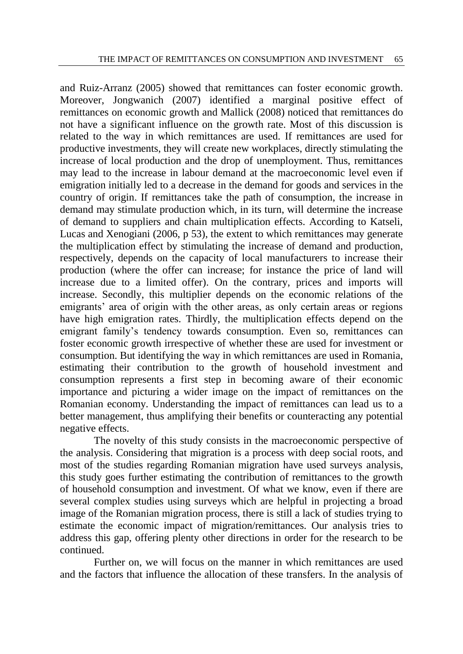and Ruiz-Arranz (2005) showed that remittances can foster economic growth. Moreover, Jongwanich (2007) identified a marginal positive effect of remittances on economic growth and Mallick (2008) noticed that remittances do not have a significant influence on the growth rate. Most of this discussion is related to the way in which remittances are used. If remittances are used for productive investments, they will create new workplaces, directly stimulating the increase of local production and the drop of unemployment. Thus, remittances may lead to the increase in labour demand at the macroeconomic level even if emigration initially led to a decrease in the demand for goods and services in the country of origin. If remittances take the path of consumption, the increase in demand may stimulate production which, in its turn, will determine the increase of demand to suppliers and chain multiplication effects. According to Katseli, Lucas and Xenogiani (2006, p 53), the extent to which remittances may generate the multiplication effect by stimulating the increase of demand and production, respectively, depends on the capacity of local manufacturers to increase their production (where the offer can increase; for instance the price of land will increase due to a limited offer). On the contrary, prices and imports will increase. Secondly, this multiplier depends on the economic relations of the emigrants' area of origin with the other areas, as only certain areas or regions have high emigration rates. Thirdly, the multiplication effects depend on the emigrant family's tendency towards consumption. Even so, remittances can foster economic growth irrespective of whether these are used for investment or consumption. But identifying the way in which remittances are used in Romania, estimating their contribution to the growth of household investment and consumption represents a first step in becoming aware of their economic importance and picturing a wider image on the impact of remittances on the Romanian economy. Understanding the impact of remittances can lead us to a better management, thus amplifying their benefits or counteracting any potential negative effects.

The novelty of this study consists in the macroeconomic perspective of the analysis. Considering that migration is a process with deep social roots, and most of the studies regarding Romanian migration have used surveys analysis, this study goes further estimating the contribution of remittances to the growth of household consumption and investment. Of what we know, even if there are several complex studies using surveys which are helpful in projecting a broad image of the Romanian migration process, there is still a lack of studies trying to estimate the economic impact of migration/remittances. Our analysis tries to address this gap, offering plenty other directions in order for the research to be continued.

Further on, we will focus on the manner in which remittances are used and the factors that influence the allocation of these transfers. In the analysis of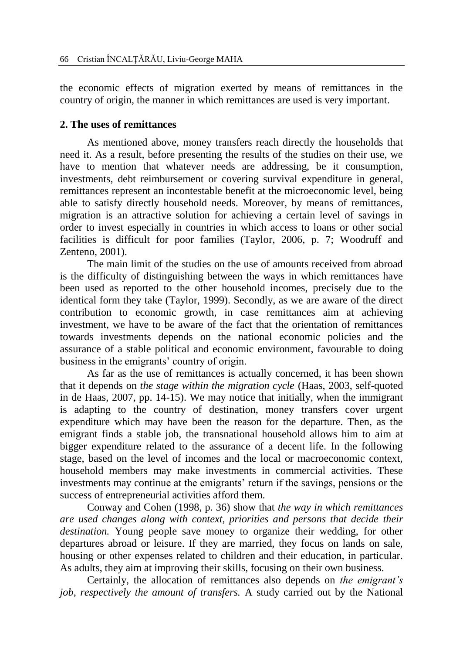the economic effects of migration exerted by means of remittances in the country of origin, the manner in which remittances are used is very important.

# **2. The uses of remittances**

As mentioned above, money transfers reach directly the households that need it. As a result, before presenting the results of the studies on their use, we have to mention that whatever needs are addressing, be it consumption, investments, debt reimbursement or covering survival expenditure in general, remittances represent an incontestable benefit at the microeconomic level, being able to satisfy directly household needs. Moreover, by means of remittances, migration is an attractive solution for achieving a certain level of savings in order to invest especially in countries in which access to loans or other social facilities is difficult for poor families (Taylor, 2006, p. 7; Woodruff and Zenteno, 2001).

The main limit of the studies on the use of amounts received from abroad is the difficulty of distinguishing between the ways in which remittances have been used as reported to the other household incomes, precisely due to the identical form they take (Taylor, 1999). Secondly, as we are aware of the direct contribution to economic growth, in case remittances aim at achieving investment, we have to be aware of the fact that the orientation of remittances towards investments depends on the national economic policies and the assurance of a stable political and economic environment, favourable to doing business in the emigrants' country of origin.

As far as the use of remittances is actually concerned, it has been shown that it depends on *the stage within the migration cycle* (Haas, 2003, self-quoted in de Haas, 2007, pp. 14-15). We may notice that initially, when the immigrant is adapting to the country of destination, money transfers cover urgent expenditure which may have been the reason for the departure. Then, as the emigrant finds a stable job, the transnational household allows him to aim at bigger expenditure related to the assurance of a decent life. In the following stage, based on the level of incomes and the local or macroeconomic context, household members may make investments in commercial activities. These investments may continue at the emigrants' return if the savings, pensions or the success of entrepreneurial activities afford them.

Conway and Cohen (1998, p. 36) show that *the way in which remittances are used changes along with context, priorities and persons that decide their destination.* Young people save money to organize their wedding, for other departures abroad or leisure. If they are married, they focus on lands on sale, housing or other expenses related to children and their education, in particular. As adults, they aim at improving their skills, focusing on their own business.

Certainly, the allocation of remittances also depends on *the emigrant's job, respectively the amount of transfers.* A study carried out by the National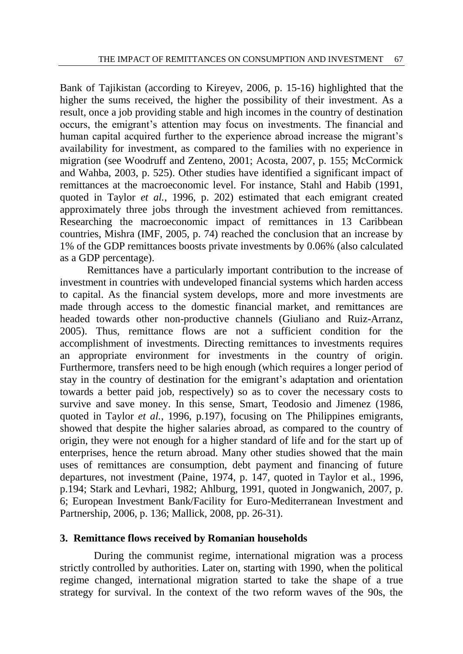Bank of Tajikistan (according to Kireyev, 2006, p. 15-16) highlighted that the higher the sums received, the higher the possibility of their investment. As a result, once a job providing stable and high incomes in the country of destination occurs, the emigrant's attention may focus on investments. The financial and human capital acquired further to the experience abroad increase the migrant's availability for investment, as compared to the families with no experience in migration (see Woodruff and Zenteno, 2001; Acosta, 2007, p. 155; McCormick and Wahba, 2003, p. 525). Other studies have identified a significant impact of remittances at the macroeconomic level. For instance, Stahl and Habib (1991, quoted in Taylor *et al.*, 1996, p. 202) estimated that each emigrant created approximately three jobs through the investment achieved from remittances. Researching the macroeconomic impact of remittances in 13 Caribbean countries, Mishra (IMF, 2005, p. 74) reached the conclusion that an increase by 1% of the GDP remittances boosts private investments by 0.06% (also calculated as a GDP percentage).

Remittances have a particularly important contribution to the increase of investment in countries with undeveloped financial systems which harden access to capital. As the financial system develops, more and more investments are made through access to the domestic financial market, and remittances are headed towards other non-productive channels (Giuliano and Ruiz-Arranz, 2005). Thus, remittance flows are not a sufficient condition for the accomplishment of investments. Directing remittances to investments requires an appropriate environment for investments in the country of origin. Furthermore, transfers need to be high enough (which requires a longer period of stay in the country of destination for the emigrant's adaptation and orientation towards a better paid job, respectively) so as to cover the necessary costs to survive and save money. In this sense, Smart, Teodosio and Jimenez (1986, quoted in Taylor *et al.*, 1996, p.197), focusing on The Philippines emigrants, showed that despite the higher salaries abroad, as compared to the country of origin, they were not enough for a higher standard of life and for the start up of enterprises, hence the return abroad. Many other studies showed that the main uses of remittances are consumption, debt payment and financing of future departures, not investment (Paine, 1974, p. 147, quoted in Taylor et al., 1996, p.194; Stark and Levhari, 1982; Ahlburg, 1991, quoted in Jongwanich, 2007, p. 6; European Investment Bank/Facility for Euro-Mediterranean Investment and Partnership, 2006, p. 136; Mallick, 2008, pp. 26-31).

### **3. Remittance flows received by Romanian households**

During the communist regime, international migration was a process strictly controlled by authorities. Later on, starting with 1990, when the political regime changed, international migration started to take the shape of a true strategy for survival. In the context of the two reform waves of the 90s, the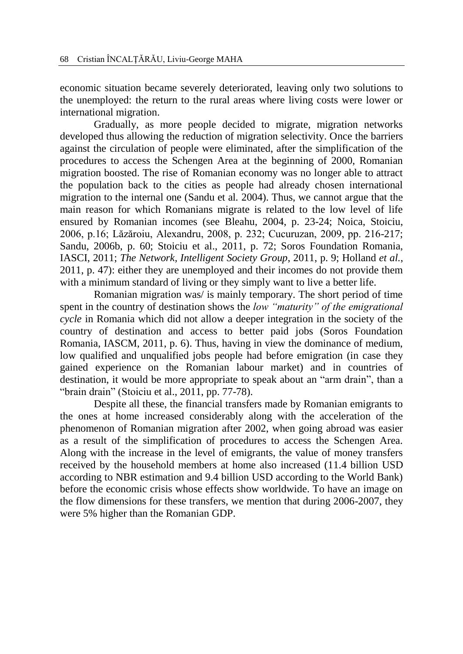economic situation became severely deteriorated, leaving only two solutions to the unemployed: the return to the rural areas where living costs were lower or international migration.

Gradually, as more people decided to migrate, migration networks developed thus allowing the reduction of migration selectivity. Once the barriers against the circulation of people were eliminated, after the simplification of the procedures to access the Schengen Area at the beginning of 2000, Romanian migration boosted. The rise of Romanian economy was no longer able to attract the population back to the cities as people had already chosen international migration to the internal one (Sandu et al*.* 2004). Thus, we cannot argue that the main reason for which Romanians migrate is related to the low level of life ensured by Romanian incomes (see Bleahu, 2004, p. 23-24; Noica, Stoiciu, 2006, p.16; Lăzăroiu, Alexandru, 2008, p. 232; Cucuruzan, 2009, pp. 216-217; Sandu, 2006b, p. 60; Stoiciu et al., 2011, p. 72; Soros Foundation Romania, IASCI, 2011; *The Network, Intelligent Society Group*, 2011, p. 9; Holland *et al.*, 2011, p. 47): either they are unemployed and their incomes do not provide them with a minimum standard of living or they simply want to live a better life.

Romanian migration was/ is mainly temporary. The short period of time spent in the country of destination shows the *low "maturity" of the emigrational cycle* in Romania which did not allow a deeper integration in the society of the country of destination and access to better paid jobs (Soros Foundation Romania, IASCM, 2011, p. 6). Thus, having in view the dominance of medium, low qualified and unqualified jobs people had before emigration (in case they gained experience on the Romanian labour market) and in countries of destination, it would be more appropriate to speak about an "arm drain", than a "brain drain" (Stoiciu et al., 2011, pp. 77-78).

Despite all these, the financial transfers made by Romanian emigrants to the ones at home increased considerably along with the acceleration of the phenomenon of Romanian migration after 2002, when going abroad was easier as a result of the simplification of procedures to access the Schengen Area. Along with the increase in the level of emigrants, the value of money transfers received by the household members at home also increased (11.4 billion USD according to NBR estimation and 9.4 billion USD according to the World Bank) before the economic crisis whose effects show worldwide. To have an image on the flow dimensions for these transfers, we mention that during 2006-2007, they were 5% higher than the Romanian GDP.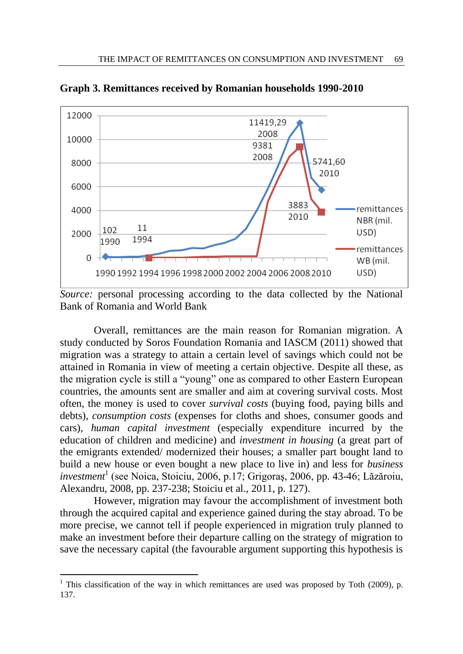

**Graph 3. Remittances received by Romanian households 1990-2010**

*Source:* personal processing according to the data collected by the National Bank of Romania and World Bank

Overall, remittances are the main reason for Romanian migration. A study conducted by Soros Foundation Romania and IASCM (2011) showed that migration was a strategy to attain a certain level of savings which could not be attained in Romania in view of meeting a certain objective. Despite all these, as the migration cycle is still a "young" one as compared to other Eastern European countries, the amounts sent are smaller and aim at covering survival costs. Most often, the money is used to cover *survival costs* (buying food, paying bills and debts), *consumption costs* (expenses for cloths and shoes, consumer goods and cars), *human capital investment* (especially expenditure incurred by the education of children and medicine) and *investment in housing* (a great part of the emigrants extended/ modernized their houses; a smaller part bought land to build a new house or even bought a new place to live in) and less for *business investment*<sup>1</sup> (see Noica, Stoiciu, 2006, p.17; Grigoraş, 2006, pp. 43-46; Lăzăroiu, Alexandru, 2008, pp. 237-238; Stoiciu et al., 2011, p. 127).

However, migration may favour the accomplishment of investment both through the acquired capital and experience gained during the stay abroad. To be more precise, we cannot tell if people experienced in migration truly planned to make an investment before their departure calling on the strategy of migration to save the necessary capital (the favourable argument supporting this hypothesis is

l

<sup>&</sup>lt;sup>1</sup> This classification of the way in which remittances are used was proposed by Toth (2009), p. 137.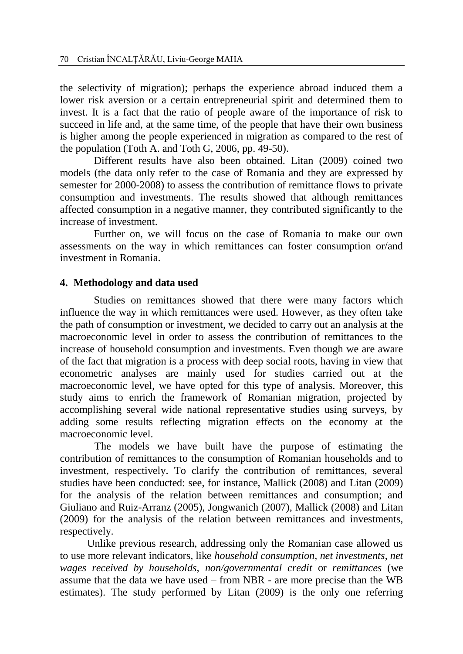the selectivity of migration); perhaps the experience abroad induced them a lower risk aversion or a certain entrepreneurial spirit and determined them to invest. It is a fact that the ratio of people aware of the importance of risk to succeed in life and, at the same time, of the people that have their own business is higher among the people experienced in migration as compared to the rest of the population (Toth A. and Toth G, 2006, pp. 49-50).

Different results have also been obtained. Litan (2009) coined two models (the data only refer to the case of Romania and they are expressed by semester for 2000-2008) to assess the contribution of remittance flows to private consumption and investments. The results showed that although remittances affected consumption in a negative manner, they contributed significantly to the increase of investment.

Further on, we will focus on the case of Romania to make our own assessments on the way in which remittances can foster consumption or/and investment in Romania.

# **4. Methodology and data used**

Studies on remittances showed that there were many factors which influence the way in which remittances were used. However, as they often take the path of consumption or investment, we decided to carry out an analysis at the macroeconomic level in order to assess the contribution of remittances to the increase of household consumption and investments. Even though we are aware of the fact that migration is a process with deep social roots, having in view that econometric analyses are mainly used for studies carried out at the macroeconomic level, we have opted for this type of analysis. Moreover, this study aims to enrich the framework of Romanian migration, projected by accomplishing several wide national representative studies using surveys, by adding some results reflecting migration effects on the economy at the macroeconomic level.

The models we have built have the purpose of estimating the contribution of remittances to the consumption of Romanian households and to investment, respectively. To clarify the contribution of remittances, several studies have been conducted: see, for instance, Mallick (2008) and Litan (2009) for the analysis of the relation between remittances and consumption; and Giuliano and Ruiz-Arranz (2005), Jongwanich (2007), Mallick (2008) and Litan (2009) for the analysis of the relation between remittances and investments, respectively.

Unlike previous research, addressing only the Romanian case allowed us to use more relevant indicators, like *household consumption*, *net investments*, *net wages received by households, non/governmental credit* or *remittances* (we assume that the data we have used – from NBR - are more precise than the WB estimates). The study performed by Litan (2009) is the only one referring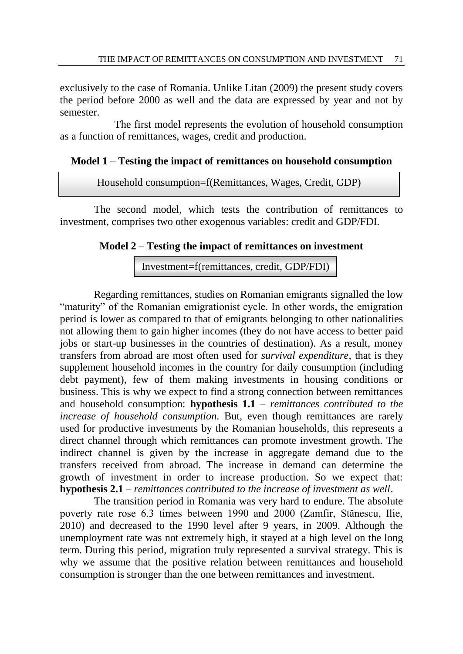exclusively to the case of Romania. Unlike Litan (2009) the present study covers the period before 2000 as well and the data are expressed by year and not by semester.

The first model represents the evolution of household consumption as a function of remittances, wages, credit and production.

#### **Model 1 – Testing the impact of remittances on household consumption**

Household consumption=f(Remittances, Wages, Credit, GDP)

The second model, which tests the contribution of remittances to investment, comprises two other exogenous variables: credit and GDP/FDI.

## **Model 2 – Testing the impact of remittances on investment**

Investment=f(remittances, credit, GDP/FDI)

Regarding remittances, studies on Romanian emigrants signalled the low "maturity" of the Romanian emigrationist cycle. In other words, the emigration period is lower as compared to that of emigrants belonging to other nationalities not allowing them to gain higher incomes (they do not have access to better paid jobs or start-up businesses in the countries of destination). As a result, money transfers from abroad are most often used for *survival expenditure,* that is they supplement household incomes in the country for daily consumption (including debt payment), few of them making investments in housing conditions or business. This is why we expect to find a strong connection between remittances and household consumption: **hypothesis 1.1** – *remittances contributed to the increase of household consumption*. But, even though remittances are rarely used for productive investments by the Romanian households, this represents a direct channel through which remittances can promote investment growth. The indirect channel is given by the increase in aggregate demand due to the transfers received from abroad. The increase in demand can determine the growth of investment in order to increase production. So we expect that: **hypothesis 2.1** – *remittances contributed to the increase of investment as well*.

The transition period in Romania was very hard to endure. The absolute poverty rate rose 6.3 times between 1990 and 2000 (Zamfir, Stănescu, Ilie, 2010) and decreased to the 1990 level after 9 years, in 2009. Although the unemployment rate was not extremely high, it stayed at a high level on the long term. During this period, migration truly represented a survival strategy. This is why we assume that the positive relation between remittances and household consumption is stronger than the one between remittances and investment.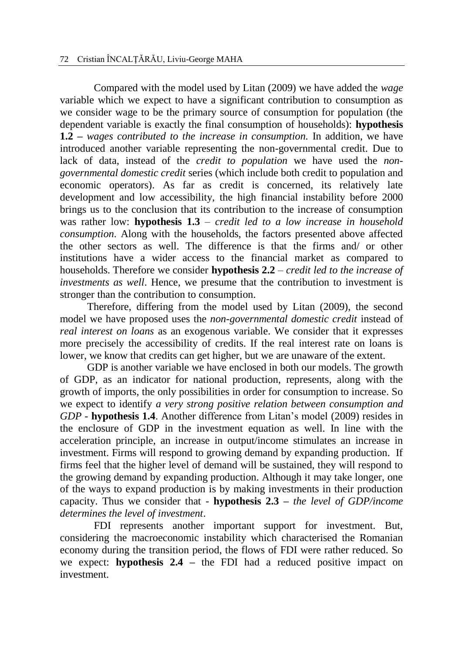Compared with the model used by Litan (2009) we have added the *wage* variable which we expect to have a significant contribution to consumption as we consider wage to be the primary source of consumption for population (the dependent variable is exactly the final consumption of households): **hypothesis 1.2 –** *wages contributed to the increase in consumption.* In addition, we have introduced another variable representing the non-governmental credit. Due to lack of data, instead of the *credit to population* we have used the *nongovernmental domestic credit* series (which include both credit to population and economic operators). As far as credit is concerned, its relatively late development and low accessibility, the high financial instability before 2000 brings us to the conclusion that its contribution to the increase of consumption was rather low: **hypothesis 1.3** *– credit led to a low increase in household consumption*. Along with the households, the factors presented above affected the other sectors as well. The difference is that the firms and/ or other institutions have a wider access to the financial market as compared to households. Therefore we consider **hypothesis 2.2** *– credit led to the increase of investments as well*. Hence, we presume that the contribution to investment is stronger than the contribution to consumption.

Therefore, differing from the model used by Litan (2009), the second model we have proposed uses the *non-governmental domestic credit* instead of *real interest on loans* as an exogenous variable. We consider that it expresses more precisely the accessibility of credits. If the real interest rate on loans is lower, we know that credits can get higher, but we are unaware of the extent.

GDP is another variable we have enclosed in both our models. The growth of GDP, as an indicator for national production, represents, along with the growth of imports, the only possibilities in order for consumption to increase. So we expect to identify *a very strong positive relation between consumption and GDP -* **hypothesis 1.4**. Another difference from Litan's model (2009) resides in the enclosure of GDP in the investment equation as well. In line with the acceleration principle, an increase in output/income stimulates an increase in investment. Firms will respond to growing demand by expanding production. If firms feel that the higher level of demand will be sustained, they will respond to the growing demand by expanding production. Although it may take longer, one of the ways to expand production is by making investments in their production capacity. Thus we consider that - **hypothesis 2.3 –** *the level of GDP/income determines the level of investment*.

FDI represents another important support for investment. But, considering the macroeconomic instability which characterised the Romanian economy during the transition period, the flows of FDI were rather reduced. So we expect: **hypothesis 2.4 –** the FDI had a reduced positive impact on investment.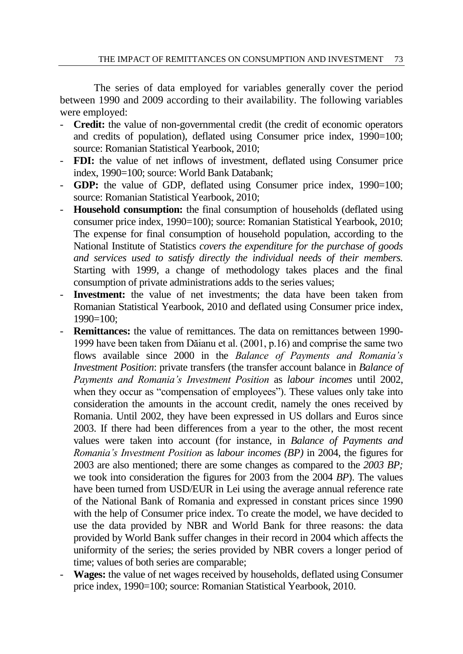The series of data employed for variables generally cover the period between 1990 and 2009 according to their availability. The following variables were employed:

- **Credit:** the value of non-governmental credit (the credit of economic operators and credits of population), deflated using Consumer price index, 1990=100; source: Romanian Statistical Yearbook, 2010;
- **FDI:** the value of net inflows of investment, deflated using Consumer price index, 1990=100; source: World Bank Databank;
- **GDP:** the value of GDP, deflated using Consumer price index, 1990=100; source: Romanian Statistical Yearbook, 2010;
- **Household consumption:** the final consumption of households (deflated using consumer price index, 1990=100); source: Romanian Statistical Yearbook, 2010; The expense for final consumption of household population, according to the National Institute of Statistics *covers the expenditure for the purchase of goods and services used to satisfy directly the individual needs of their members.*  Starting with 1999, a change of methodology takes places and the final consumption of private administrations adds to the series values;
- **Investment:** the value of net investments; the data have been taken from Romanian Statistical Yearbook, 2010 and deflated using Consumer price index, 1990=100;
- **Remittances:** the value of remittances. The data on remittances between 1990-1999 have been taken from Dăianu et al. (2001, p.16) and comprise the same two flows available since 2000 in the *Balance of Payments and Romania's Investment Position*: private transfers (the transfer account balance in *Balance of Payments and Romania's Investment Position* as *labour incomes* until 2002, when they occur as "compensation of employees"). These values only take into consideration the amounts in the account credit, namely the ones received by Romania. Until 2002, they have been expressed in US dollars and Euros since 2003. If there had been differences from a year to the other, the most recent values were taken into account (for instance, in *Balance of Payments and Romania's Investment Position* as *labour incomes (BP)* in 2004, the figures for 2003 are also mentioned; there are some changes as compared to the *2003 BP;*  we took into consideration the figures for 2003 from the 2004 *BP*). The values have been turned from USD/EUR in Lei using the average annual reference rate of the National Bank of Romania and expressed in constant prices since 1990 with the help of Consumer price index. To create the model, we have decided to use the data provided by NBR and World Bank for three reasons: the data provided by World Bank suffer changes in their record in 2004 which affects the uniformity of the series; the series provided by NBR covers a longer period of time; values of both series are comparable;
- **Wages:** the value of net wages received by households, deflated using Consumer price index, 1990=100; source: Romanian Statistical Yearbook, 2010.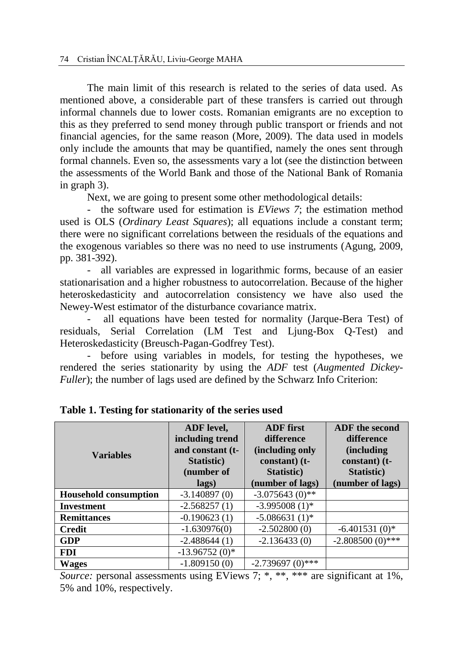The main limit of this research is related to the series of data used. As mentioned above, a considerable part of these transfers is carried out through informal channels due to lower costs. Romanian emigrants are no exception to this as they preferred to send money through public transport or friends and not financial agencies, for the same reason (More, 2009). The data used in models only include the amounts that may be quantified, namely the ones sent through formal channels. Even so, the assessments vary a lot (see the distinction between the assessments of the World Bank and those of the National Bank of Romania in graph 3).

Next, we are going to present some other methodological details:

- the software used for estimation is *EViews 7*; the estimation method used is OLS (*Ordinary Least Squares*); all equations include a constant term; there were no significant correlations between the residuals of the equations and the exogenous variables so there was no need to use instruments (Agung, 2009, pp. 381-392).

- all variables are expressed in logarithmic forms, because of an easier stationarisation and a higher robustness to autocorrelation. Because of the higher heteroskedasticity and autocorrelation consistency we have also used the Newey-West estimator of the disturbance covariance matrix.

all equations have been tested for normality (Jarque-Bera Test) of residuals, Serial Correlation (LM Test and Ljung-Box Q-Test) and Heteroskedasticity (Breusch-Pagan-Godfrey Test).

- before using variables in models, for testing the hypotheses, we rendered the series stationarity by using the *ADF* test (*Augmented Dickey-Fuller*); the number of lags used are defined by the Schwarz Info Criterion:

| <b>Variables</b>             | ADF level,<br>including trend<br>and constant (t-<br>Statistic)<br>(number of<br>lags) | <b>ADF</b> first<br>difference<br>(including only<br>constant) (t-<br>Statistic)<br>(number of lags) | <b>ADF</b> the second<br>difference<br><i>(including)</i><br>constant) (t-<br>Statistic)<br>(number of lags) |  |
|------------------------------|----------------------------------------------------------------------------------------|------------------------------------------------------------------------------------------------------|--------------------------------------------------------------------------------------------------------------|--|
| <b>Household consumption</b> | $-3.140897(0)$                                                                         | $-3.075643(0)$ **                                                                                    |                                                                                                              |  |
| <b>Investment</b>            | $-2.568257(1)$                                                                         | $-3.995008(1)$ *                                                                                     |                                                                                                              |  |
| <b>Remittances</b>           | $-0.190623(1)$                                                                         | $-5.086631(1)$ *                                                                                     |                                                                                                              |  |
| <b>Credit</b>                | $-1.630976(0)$                                                                         | $-2.502800(0)$                                                                                       | $-6.401531(0)*$                                                                                              |  |
| <b>GDP</b>                   | $-2.488644(1)$                                                                         | $-2.136433(0)$                                                                                       | $-2.808500(0)$ ***                                                                                           |  |
| <b>FDI</b>                   | $-13.96752(0)$ *                                                                       |                                                                                                      |                                                                                                              |  |
| <b>Wages</b>                 | $-1.809150(0)$                                                                         | $-2.739697(0)$ ***                                                                                   |                                                                                                              |  |

**Table 1. Testing for stationarity of the series used** 

*Source:* personal assessments using EViews 7; \*, \*\*, \*\*\* are significant at 1%, 5% and 10%, respectively.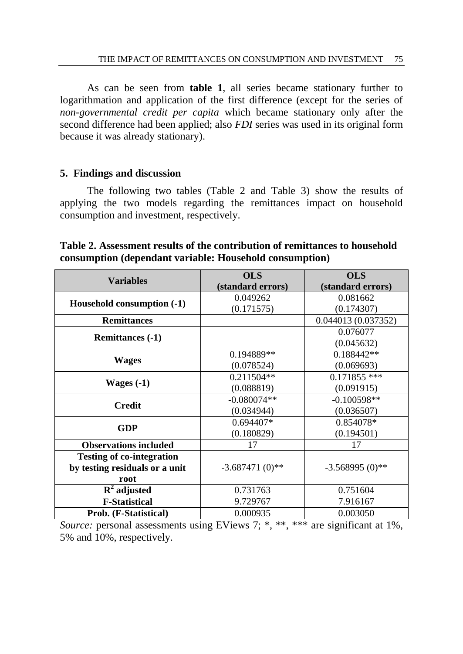As can be seen from **table 1**, all series became stationary further to logarithmation and application of the first difference (except for the series of *non-governmental credit per capita* which became stationary only after the second difference had been applied; also *FDI* series was used in its original form because it was already stationary).

#### **5. Findings and discussion**

The following two tables (Table 2 and Table 3) show the results of applying the two models regarding the remittances impact on household consumption and investment, respectively.

**Table 2. Assessment results of the contribution of remittances to household consumption (dependant variable: Household consumption)** 

| <b>Variables</b>                 | <b>OLS</b>        | <b>OLS</b>          |
|----------------------------------|-------------------|---------------------|
|                                  | (standard errors) | (standard errors)   |
|                                  | 0.049262          | 0.081662            |
| Household consumption (-1)       | (0.171575)        | (0.174307)          |
| <b>Remittances</b>               |                   | 0.044013 (0.037352) |
|                                  |                   | 0.076077            |
| <b>Remittances (-1)</b>          |                   | (0.045632)          |
|                                  | 0.194889**        | $0.188442**$        |
| <b>Wages</b>                     | (0.078524)        | (0.069693)          |
|                                  | 0.211504**        | $0.171855$ ***      |
| Wages $(-1)$                     | (0.088819)        | (0.091915)          |
|                                  | $-0.080074**$     | $-0.100598**$       |
| <b>Credit</b>                    | (0.034944)        | (0.036507)          |
| <b>GDP</b>                       | $0.694407*$       | 0.854078*           |
|                                  | (0.180829)        | (0.194501)          |
| <b>Observations included</b>     | 17                | 17                  |
| <b>Testing of co-integration</b> |                   |                     |
| by testing residuals or a unit   | $-3.687471(0)$ ** | $-3.568995(0)$ **   |
| root                             |                   |                     |
| $\overline{R}^2$ adjusted        | 0.731763          | 0.751604            |
| <b>F-Statistical</b>             | 9.729767          | 7.916167            |
| Prob. (F-Statistical)            | 0.000935          | 0.003050            |

*Source:* personal assessments using EViews 7; \*, \*\*, \*\*\* are significant at 1%, 5% and 10%, respectively.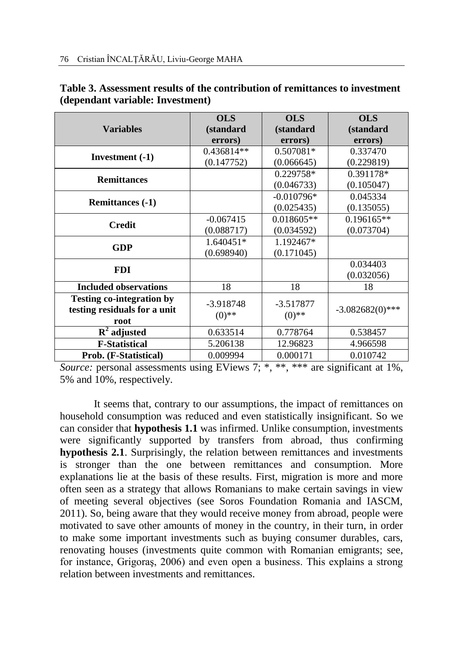|                                  | <b>OLS</b>   | <b>OLS</b>   | <b>OLS</b>         |
|----------------------------------|--------------|--------------|--------------------|
| <b>Variables</b>                 | (standard    | (standard    | (standard          |
|                                  | errors)      | errors)      | errors)            |
|                                  | $0.436814**$ | $0.507081*$  | 0.337470           |
| Investment $(-1)$                | (0.147752)   | (0.066645)   | (0.229819)         |
|                                  |              | $0.229758*$  | $0.391178*$        |
| <b>Remittances</b>               |              | (0.046733)   | (0.105047)         |
|                                  |              | $-0.010796*$ | 0.045334           |
| <b>Remittances (-1)</b>          |              | (0.025435)   | (0.135055)         |
| <b>Credit</b>                    | $-0.067415$  | 0.018605**   | $0.196165**$       |
|                                  | (0.088717)   | (0.034592)   | (0.073704)         |
|                                  | 1.640451*    | 1.192467*    |                    |
| <b>GDP</b>                       | (0.698940)   | (0.171045)   |                    |
| <b>FDI</b>                       |              |              | 0.034403           |
|                                  |              |              | (0.032056)         |
| <b>Included observations</b>     | 18           | 18           | 18                 |
| <b>Testing co-integration by</b> | $-3.918748$  | $-3.517877$  |                    |
| testing residuals for a unit     | $(0)$ **     | $(0)$ **     | $-3.082682(0)$ *** |
| root                             |              |              |                    |
| $\mathbf{R}^2$ adjusted          | 0.633514     | 0.778764     | 0.538457           |
| <b>F-Statistical</b>             | 5.206138     | 12.96823     | 4.966598           |
| Prob. (F-Statistical)            | 0.009994     | 0.000171     | 0.010742           |

| Table 3. Assessment results of the contribution of remittances to investment |
|------------------------------------------------------------------------------|
| (dependant variable: Investment)                                             |

*Source:* personal assessments using EViews 7; \*, \*\*, \*\*\* are significant at 1%, 5% and 10%, respectively.

It seems that, contrary to our assumptions, the impact of remittances on household consumption was reduced and even statistically insignificant. So we can consider that **hypothesis 1.1** was infirmed. Unlike consumption, investments were significantly supported by transfers from abroad, thus confirming **hypothesis 2.1**. Surprisingly, the relation between remittances and investments is stronger than the one between remittances and consumption. More explanations lie at the basis of these results. First, migration is more and more often seen as a strategy that allows Romanians to make certain savings in view of meeting several objectives (see Soros Foundation Romania and IASCM, 2011). So, being aware that they would receive money from abroad, people were motivated to save other amounts of money in the country, in their turn, in order to make some important investments such as buying consumer durables, cars, renovating houses (investments quite common with Romanian emigrants; see, for instance, Grigoraş, 2006) and even open a business. This explains a strong relation between investments and remittances.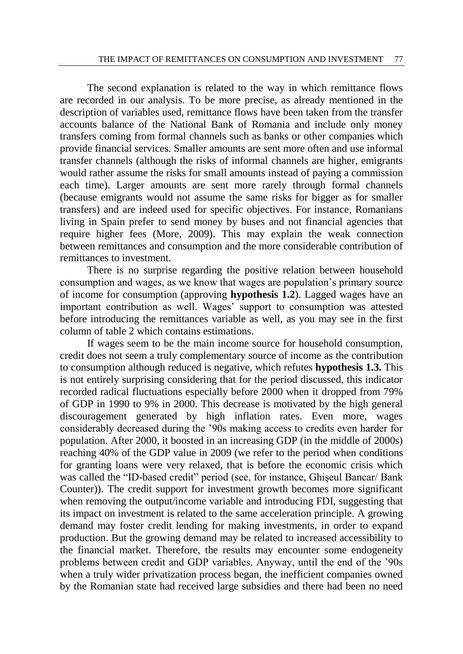The second explanation is related to the way in which remittance flows are recorded in our analysis. To be more precise, as already mentioned in the description of variables used, remittance flows have been taken from the transfer accounts balance of the National Bank of Romania and include only money transfers coming from formal channels such as banks or other companies which provide financial services. Smaller amounts are sent more often and use informal transfer channels (although the risks of informal channels are higher, emigrants would rather assume the risks for small amounts instead of paying a commission each time). Larger amounts are sent more rarely through formal channels (because emigrants would not assume the same risks for bigger as for smaller transfers) and are indeed used for specific objectives. For instance, Romanians living in Spain prefer to send money by buses and not financial agencies that require higher fees (More, 2009). This may explain the weak connection between remittances and consumption and the more considerable contribution of remittances to investment.

There is no surprise regarding the positive relation between household consumption and wages, as we know that wages are population's primary source of income for consumption (approving **hypothesis 1.2**). Lagged wages have an important contribution as well. Wages' support to consumption was attested before introducing the remittances variable as well, as you may see in the first column of table 2 which contains estimations.

If wages seem to be the main income source for household consumption, credit does not seem a truly complementary source of income as the contribution to consumption although reduced is negative, which refutes **hypothesis 1.3.** This is not entirely surprising considering that for the period discussed, this indicator recorded radical fluctuations especially before 2000 when it dropped from 79% of GDP in 1990 to 9% in 2000. This decrease is motivated by the high general discouragement generated by high inflation rates. Even more, wages considerably decreased during the '90s making access to credits even harder for population. After 2000, it boosted in an increasing GDP (in the middle of 2000s) reaching 40% of the GDP value in 2009 (we refer to the period when conditions for granting loans were very relaxed, that is before the economic crisis which was called the "ID-based credit" period (see, for instance, Ghişeul Bancar/ Bank Counter)). The credit support for investment growth becomes more significant when removing the output/income variable and introducing FDI, suggesting that its impact on investment is related to the same acceleration principle. A growing demand may foster credit lending for making investments, in order to expand production. But the growing demand may be related to increased accessibility to the financial market. Therefore, the results may encounter some endogeneity problems between credit and GDP variables. Anyway, until the end of the '90s when a truly wider privatization process began, the inefficient companies owned by the Romanian state had received large subsidies and there had been no need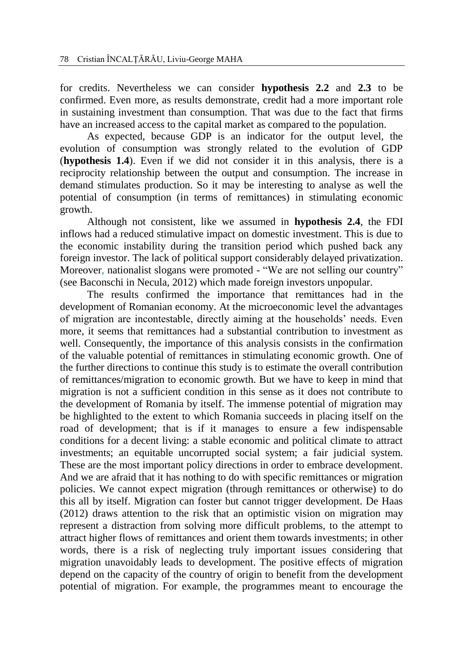for credits. Nevertheless we can consider **hypothesis 2.2** and **2.3** to be confirmed. Even more, as results demonstrate, credit had a more important role in sustaining investment than consumption. That was due to the fact that firms have an increased access to the capital market as compared to the population.

As expected, because GDP is an indicator for the output level, the evolution of consumption was strongly related to the evolution of GDP (**hypothesis 1.4**). Even if we did not consider it in this analysis, there is a reciprocity relationship between the output and consumption. The increase in demand stimulates production. So it may be interesting to analyse as well the potential of consumption (in terms of remittances) in stimulating economic growth.

Although not consistent, like we assumed in **hypothesis 2.4**, the FDI inflows had a reduced stimulative impact on domestic investment. This is due to the economic instability during the transition period which pushed back any foreign investor. The lack of political support considerably delayed privatization. Moreover, nationalist slogans were promoted - "We are not selling our country" (see Baconschi in Necula, 2012) which made foreign investors unpopular.

The results confirmed the importance that remittances had in the development of Romanian economy. At the microeconomic level the advantages of migration are incontestable, directly aiming at the households' needs. Even more, it seems that remittances had a substantial contribution to investment as well. Consequently, the importance of this analysis consists in the confirmation of the valuable potential of remittances in stimulating economic growth. One of the further directions to continue this study is to estimate the overall contribution of remittances/migration to economic growth. But we have to keep in mind that migration is not a sufficient condition in this sense as it does not contribute to the development of Romania by itself. The immense potential of migration may be highlighted to the extent to which Romania succeeds in placing itself on the road of development; that is if it manages to ensure a few indispensable conditions for a decent living: a stable economic and political climate to attract investments; an equitable uncorrupted social system; a fair judicial system. These are the most important policy directions in order to embrace development. And we are afraid that it has nothing to do with specific remittances or migration policies. We cannot expect migration (through remittances or otherwise) to do this all by itself. Migration can foster but cannot trigger development. De Haas (2012) draws attention to the risk that an optimistic vision on migration may represent a distraction from solving more difficult problems, to the attempt to attract higher flows of remittances and orient them towards investments; in other words, there is a risk of neglecting truly important issues considering that migration unavoidably leads to development. The positive effects of migration depend on the capacity of the country of origin to benefit from the development potential of migration. For example, the programmes meant to encourage the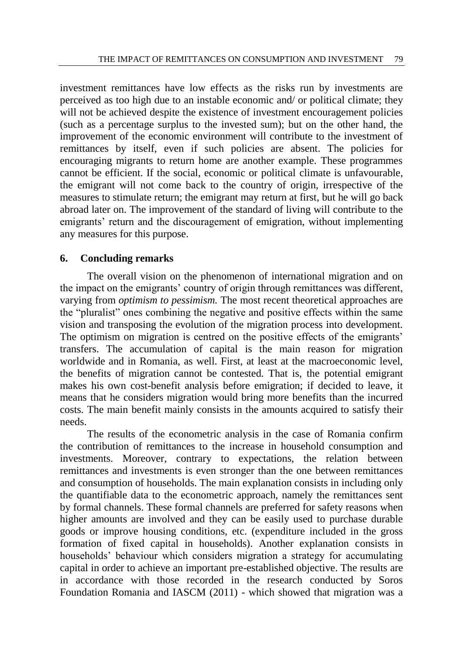investment remittances have low effects as the risks run by investments are perceived as too high due to an instable economic and/ or political climate; they will not be achieved despite the existence of investment encouragement policies (such as a percentage surplus to the invested sum); but on the other hand, the improvement of the economic environment will contribute to the investment of remittances by itself, even if such policies are absent. The policies for encouraging migrants to return home are another example. These programmes cannot be efficient. If the social, economic or political climate is unfavourable, the emigrant will not come back to the country of origin, irrespective of the measures to stimulate return; the emigrant may return at first, but he will go back abroad later on. The improvement of the standard of living will contribute to the emigrants' return and the discouragement of emigration, without implementing any measures for this purpose.

# **6. Concluding remarks**

The overall vision on the phenomenon of international migration and on the impact on the emigrants' country of origin through remittances was different, varying from *optimism to pessimism.* The most recent theoretical approaches are the "pluralist" ones combining the negative and positive effects within the same vision and transposing the evolution of the migration process into development. The optimism on migration is centred on the positive effects of the emigrants' transfers. The accumulation of capital is the main reason for migration worldwide and in Romania, as well. First, at least at the macroeconomic level, the benefits of migration cannot be contested. That is, the potential emigrant makes his own cost-benefit analysis before emigration; if decided to leave, it means that he considers migration would bring more benefits than the incurred costs. The main benefit mainly consists in the amounts acquired to satisfy their needs.

The results of the econometric analysis in the case of Romania confirm the contribution of remittances to the increase in household consumption and investments. Moreover, contrary to expectations, the relation between remittances and investments is even stronger than the one between remittances and consumption of households. The main explanation consists in including only the quantifiable data to the econometric approach, namely the remittances sent by formal channels. These formal channels are preferred for safety reasons when higher amounts are involved and they can be easily used to purchase durable goods or improve housing conditions, etc. (expenditure included in the gross formation of fixed capital in households). Another explanation consists in households' behaviour which considers migration a strategy for accumulating capital in order to achieve an important pre-established objective. The results are in accordance with those recorded in the research conducted by Soros Foundation Romania and IASCM (2011) - which showed that migration was a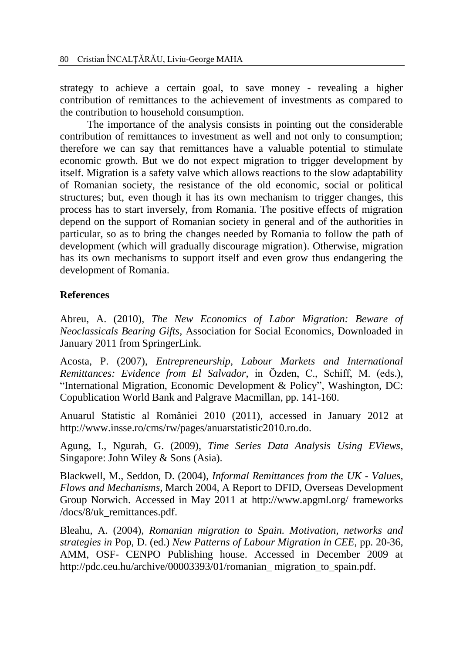strategy to achieve a certain goal, to save money - revealing a higher contribution of remittances to the achievement of investments as compared to the contribution to household consumption.

The importance of the analysis consists in pointing out the considerable contribution of remittances to investment as well and not only to consumption; therefore we can say that remittances have a valuable potential to stimulate economic growth. But we do not expect migration to trigger development by itself. Migration is a safety valve which allows reactions to the slow adaptability of Romanian society, the resistance of the old economic, social or political structures; but, even though it has its own mechanism to trigger changes, this process has to start inversely, from Romania. The positive effects of migration depend on the support of Romanian society in general and of the authorities in particular, so as to bring the changes needed by Romania to follow the path of development (which will gradually discourage migration). Otherwise, migration has its own mechanisms to support itself and even grow thus endangering the development of Romania.

# **References**

Abreu, A. (2010), *The New Economics of Labor Migration: Beware of Neoclassicals Bearing Gifts*, Association for Social Economics, Downloaded in January 2011 from SpringerLink.

Acosta, P. (2007), *Entrepreneurship, Labour Markets and International Remittances: Evidence from El Salvador*, in Özden, C., Schiff, M. (eds.), "International Migration, Economic Development & Policy", Washington, DC: Copublication World Bank and Palgrave Macmillan, pp. 141-160.

Anuarul Statistic al României 2010 (2011), accessed in January 2012 at http://www.insse.ro/cms/rw/pages/anuarstatistic2010.ro.do.

Agung, I., Ngurah, G. (2009), *Time Series Data Analysis Using EViews*, Singapore: John Wiley & Sons (Asia).

Blackwell, M., Seddon, D. (2004), *Informal Remittances from the UK - Values, Flows and Mechanisms*, March 2004, A Report to DFID, Overseas Development Group Norwich. Accessed in May 2011 at<http://www.apgml.org/> frameworks /docs/8/uk\_remittances.pdf.

Bleahu, A. (2004), *Romanian migration to Spain. Motivation, networks and strategies in* Pop, D. (ed.) *New Patterns of Labour Migration in CEE*, pp. 20-36, AMM, OSF- CENPO Publishing house. Accessed in December 2009 at http://pdc.ceu.hu/archive/00003393/01/romanian\_ migration\_to\_spain.pdf.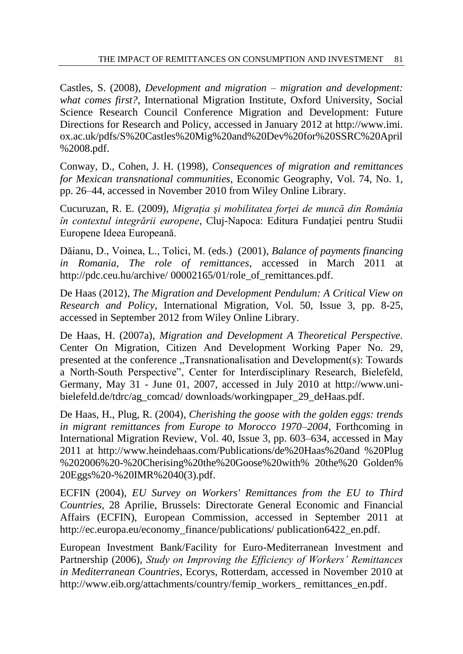Castles, S. (2008), *Development and migration – migration and development: what comes first?*, International Migration Institute, Oxford University, Social Science Research Council Conference Migration and Development: Future Directions for Research and Policy, accessed in January 2012 at http://www.imi. ox.ac.uk/pdfs/S%20Castles%20Mig%20and%20Dev%20for%20SSRC%20April %2008.pdf.

Conway, D., Cohen, J. H. (1998), *Consequences of migration and remittances for Mexican transnational communities*, Economic Geography, Vol. 74, No. 1, pp. 26–44, accessed in November 2010 from Wiley Online Library.

Cucuruzan, R. E. (2009), *Migraţia şi mobilitatea forţei de muncă din România în contextul integrării europene*, Cluj-Napoca: Editura Fundaţiei pentru Studii Europene Ideea Europeană.

Dăianu, D., Voinea, L., Tolici, M. (eds.) (2001), *Balance of payments financing in Romania, The role of remittances*, accessed in March 2011 at http://pdc.ceu.hu/archive/ 00002165/01/role\_of\_remittances.pdf.

De Haas (2012), *The Migration and Development Pendulum: A Critical View on Research and Policy*, International Migration, Vol. 50, Issue 3, pp. 8-25, accessed in September 2012 from Wiley Online Library.

De Haas, H. (2007a), *Migration and Development A Theoretical Perspective.* Center On Migration, Citizen And Development Working Paper No. 29, presented at the conference  $\Box$ Transnationalisation and Development(s): Towards a North-South Perspective", Center for Interdisciplinary Research, Bielefeld, Germany, May 31 - June 01, 2007, accessed in July 2010 at http://www.unibielefeld.de/tdrc/ag\_comcad/ downloads/workingpaper\_29\_deHaas.pdf.

De Haas, H., Plug, R. (2004), *Cherishing the goose with the golden eggs: trends in migrant remittances from Europe to Morocco 1970–2004*, Forthcoming in International Migration Review, Vol. 40, Issue 3, pp. 603–634, accessed in May 2011 at http://www.heindehaas.com/Publications/de%20Haas%20and %20Plug %202006%20-%20Cherising%20the%20Goose%20with% 20the%20 Golden% 20Eggs%20-%20IMR%2040(3).pdf.

ECFIN (2004), *EU Survey on Workers' Remittances from the EU to Third Countries*, 28 Aprilie, Brussels: Directorate General Economic and Financial Affairs (ECFIN), European Commission, accessed in September 2011 at http://ec.europa.eu/economy\_finance/publications/ publication6422\_en.pdf.

European Investment Bank/Facility for Euro-Mediterranean Investment and Partnership (2006), *Study on Improving the Efficiency of Workers' Remittances in Mediterranean Countries*, Ecorys, Rotterdam, accessed in November 2010 at http://www.eib.org/attachments/country/femip\_workers\_ remittances\_en.pdf.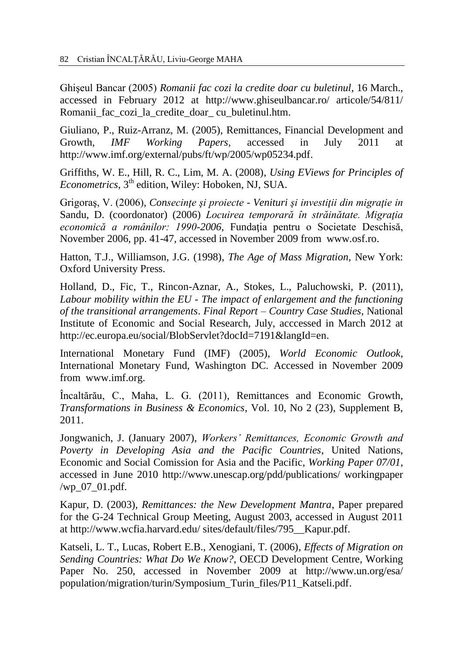Ghişeul Bancar (2005) *Romanii fac cozi la credite doar cu buletinul*, 16 March., accessed in February 2012 at http://www.ghiseulbancar.ro/ articole/54/811/ Romanii fac cozi la credite doar cu buletinul.htm.

Giuliano, P., Ruiz-Arranz, M. (2005), Remittances, Financial Development and Growth, *IMF Working Papers*, accessed in July 2011 at [http://www.imf.org/external/pubs/ft/wp/2005/wp05234.pdf.](http://www.imf.org/external/pubs/ft/wp/2005/wp05234.pdf)

Griffiths, W. E., Hill, R. C., Lim, M. A. (2008), *Using EViews for Principles of*  Econometrics, 3<sup>th</sup> edition, Wiley: Hoboken, NJ, SUA.

Grigoraş, V. (2006), *Consecinţe şi proiecte - Venituri şi investiţii din migraţie in*  Sandu, D. (coordonator) (2006) *Locuirea temporară în străinătate. Migraţia economică a românilor: 1990-2006*, Fundaţia pentru o Societate Deschisă, November 2006, pp. 41-47*,* accessed in November 2009 from [www.osf.ro.](http://www.osf.ro/)

Hatton, T.J., Williamson, J.G. (1998), *The Age of Mass Migration*, New York: Oxford University Press.

Holland, D., Fic, T., Rincon-Aznar, A., Stokes, L., Paluchowski, P. (2011), *Labour mobility within the EU - The impact of enlargement and the functioning of the transitional arrangements*. *Final Report – Country Case Studies*, National Institute of Economic and Social Research, July, acccessed in March 2012 at [http://ec.europa.eu/social/BlobServlet?docId=7191&langId=en.](http://ec.europa.eu/social/BlobServlet?docId=7191&langId=en)

International Monetary Fund (IMF) (2005), *World Economic Outlook*, International Monetary Fund, Washington DC. Accessed in November 2009 from [www.imf.org.](http://www.imf.org/)

Încaltărău, C., Maha, L. G. (2011), Remittances and Economic Growth, *Transformations in Business & Economics*, Vol. 10, No 2 (23), Supplement B, 2011.

Jongwanich, J. (January 2007), *Workers' Remittances, Economic Growth and Poverty in Developing Asia and the Pacific Countries*, United Nations, Economic and Social Comission for Asia and the Pacific, *Working Paper 07/01*, accessed in June 2010 http://www.unescap.org/pdd/publications/ workingpaper /wp\_07\_01.pdf.

Kapur, D. (2003), *Remittances: the New Development Mantra*, Paper prepared for the G-24 Technical Group Meeting, August 2003, accessed in August 2011 at http://www.wcfia.harvard.edu/ sites/default/files/795\_\_Kapur.pdf.

Katseli, L. T., Lucas, Robert E.B., Xenogiani, T. (2006), *Effects of Migration on Sending Countries: What Do We Know?*, OECD Development Centre, Working Paper No. 250, accessed in November 2009 at [http://www.un.org/esa/](http://www.un.org/esa/population/migration/turin/Symposium_Turin_files/P11_Katseli.pdf) [population/migration/turin/Symposium\\_Turin\\_files/P11\\_Katseli.pdf.](http://www.un.org/esa/population/migration/turin/Symposium_Turin_files/P11_Katseli.pdf)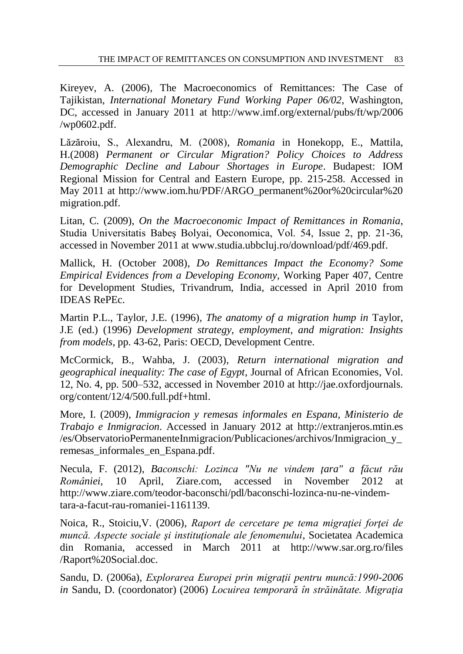Kireyev, A. (2006), The Macroeconomics of Remittances: The Case of Tajikistan, *International Monetary Fund Working Paper 06/02*, Washington, DC, accessed in January 2011 at [http://www.imf.org/external/pubs/ft/wp/2006](http://www.imf.org/external/pubs/ft/wp/2006%20/wp0602.pdf)  [/wp0602.pdf.](http://www.imf.org/external/pubs/ft/wp/2006%20/wp0602.pdf)

Lăzăroiu, S., Alexandru, M. (2008), *Romania* in Honekopp, E., Mattila, H.(2008) *Permanent or Circular Migration? Policy Choices to Address Demographic Decline and Labour Shortages in Europe*. Budapest: IOM Regional Mission for Central and Eastern Europe, pp. 215-258. Accessed in May 2011 at [http://www.iom.hu/PDF/ARGO\\_permanent%20or%20circular%20](http://www.iom.hu/PDF/ARGO_permanent%20or%20circular%20migration.pdf) [migration.pdf.](http://www.iom.hu/PDF/ARGO_permanent%20or%20circular%20migration.pdf)

Litan, C. (2009), *On the Macroeconomic Impact of Remittances in Romania*, Studia Universitatis Babeş Bolyai, Oeconomica, Vol. 54, Issue 2, pp. 21-36, accessed in November 2011 at [www.studia.ubbcluj.ro/download/pdf/469.pdf.](http://www.studia.ubbcluj.ro/download/pdf/469.pdf)

Mallick, H. (October 2008), *Do Remittances Impact the Economy? Some Empirical Evidences from a Developing Economy,* Working Paper 407, Centre for Development Studies, Trivandrum, India, accessed in April 2010 from IDEAS RePEc.

Martin P.L., Taylor, J.E. (1996), *The anatomy of a migration hump in* Taylor, J.E (ed.) (1996) *Development strategy, employment, and migration: Insights from models*, pp. 43-62, Paris: OECD, Development Centre.

McCormick, B., Wahba, J. (2003), *Return international migration and geographical inequality: The case of Egypt*, Journal of African Economies, Vol. 12, No. 4, pp. 500–532, accessed in November 2010 at [http://jae.oxfordjournals.](http://jae.oxfordjournals.org/content/12/4/500.full.pdf+html) [org/content/12/4/500.full.pdf+html.](http://jae.oxfordjournals.org/content/12/4/500.full.pdf+html)

More, I. (2009), *Immigracion y remesas informales en Espana, Ministerio de Trabajo e Inmigracion*. Accessed in January 2012 at [http://extranjeros.mtin.es](http://extranjeros.mtin.es/) /es/ObservatorioPermanenteInmigracion/Publicaciones/archivos/Inmigracion\_y\_ remesas\_informales\_en\_Espana.pdf.

Necula, F. (2012), *Baconschi: Lozinca "Nu ne vindem ţara" a făcut rău României*, 10 April, Ziare.com, accessed in November 2012 at http://www.ziare.com/teodor-baconschi/pdl/baconschi-lozinca-nu-ne-vindemtara-a-facut-rau-romaniei-1161139.

Noica, R., Stoiciu,V. (2006), *Raport de cercetare pe tema migraţiei forţei de muncă. Aspecte sociale şi instituţionale ale fenomenului*, Societatea Academica din Romania, accessed in March 2011 at http://www.sar.org.ro/files /Raport%20Social.doc.

Sandu, D. (2006a), *Explorarea Europei prin migraţii pentru muncă:1990-2006 in* Sandu, D. (coordonator) (2006) *Locuirea temporară în străinătate. Migraţia*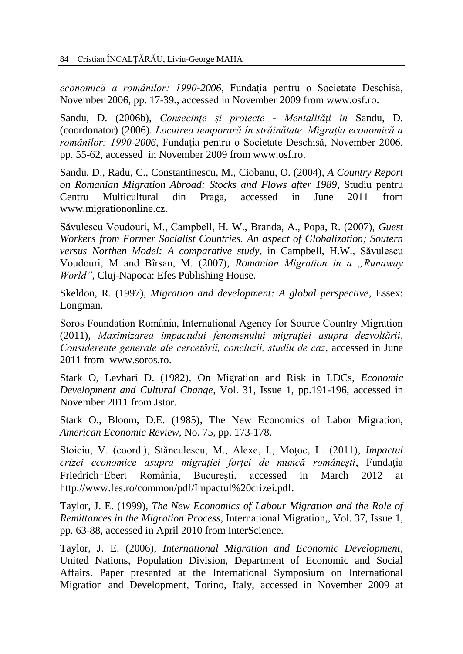economică a românilor: 1990-2006, Fundația pentru o Societate Deschisă, November 2006, pp. 17-39*.*, accessed in November 2009 from [www.osf.ro.](http://www.osf.ro/)

Sandu, D. (2006b), *Consecinţe şi proiecte - Mentalităţi in* Sandu, D. (coordonator) (2006). *Locuirea temporară în străinătate. Migraţia economică a românilor: 1990-2006*, Fundația pentru o Societate Deschisă, November 2006, pp. 55-62, accessed in November 2009 from [www.osf.ro.](http://www.osf.ro/)

Sandu, D., Radu, C., Constantinescu, M., Ciobanu, O. (2004), *A Country Report on Romanian Migration Abroad: Stocks and Flows after 1989*, Studiu pentru Centru Multicultural din Praga, accessed in June 2011 from [www.migrationonline.cz.](http://www.migrationonline.cz/)

Săvulescu Voudouri, M., Campbell, H. W., Branda, A., Popa, R. (2007), *Guest Workers from Former Socialist Countries. An aspect of Globalization; Soutern versus Northen Model: A comparative study,* in Campbell, H.W., Săvulescu Voudouri, M and Bîrsan, M. (2007), *Romanian Migration in a "Runaway World"*, Cluj-Napoca: Efes Publishing House.

Skeldon, R. (1997), *Migration and development: A global perspective*, Essex: Longman.

Soros Foundation România, International Agency for Source Country Migration (2011), *Maximizarea impactului fenomenului migraţiei asupra dezvoltării*, *Considerente generale ale cercetării, concluzii, studiu de caz*, accessed in June 2011 from www.soros.ro.

Stark O, Levhari D. (1982), On Migration and Risk in LDCs*, Economic Development and Cultural Change*, Vol. 31, Issue 1, pp.191-196, accessed in November 2011 from Jstor.

Stark O., Bloom, D.E. (1985), The New Economics of Labor Migration, *American Economic Review*, No. 75, pp. 173-178.

Stoiciu, V. (coord.), Stănculescu, M., Alexe, I., Moţoc, L. (2011), *Impactul crizei economice asupra migraţiei forţei de muncă româneşti*, Fundaţia Friedrich‑Ebert România, Bucureşti, accessed in March 2012 at [http://www.fes.ro/common/pdf/Impactul%20crizei.pdf.](http://www.fes.ro/common/pdf/Impactul%20crizei.pdf)

Taylor, J. E. (1999), *The New Economics of Labour Migration and the Role of Remittances in the Migration Process*, International Migration*,*, Vol. 37, Issue 1, pp. 63-88, accessed in April 2010 from InterScience.

Taylor, J. E. (2006), *International Migration and Economic Development*, United Nations, Population Division, Department of Economic and Social Affairs. Paper presented at the International Symposium on International Migration and Development, Torino, Italy, accessed in November 2009 at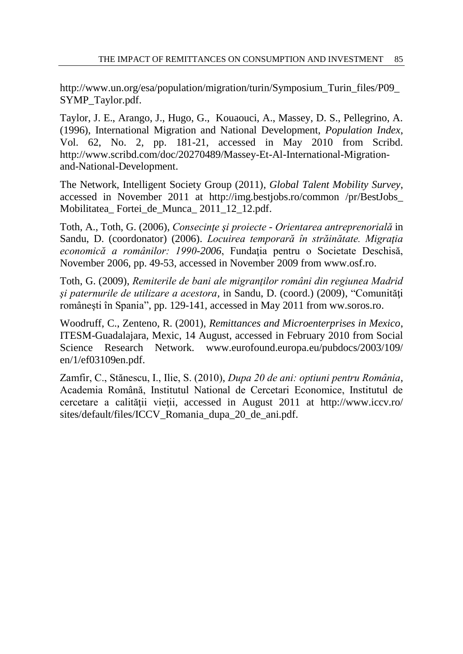[http://www.un.org/esa/population/migration/turin/Symposium\\_Turin\\_files/P09\\_](http://www.un.org/esa/population/migration/turin/Symposium_Turin_files/P09_SYMP_Taylor.pdf) [SYMP\\_Taylor.pdf.](http://www.un.org/esa/population/migration/turin/Symposium_Turin_files/P09_SYMP_Taylor.pdf)

Taylor, J. E., Arango, J., Hugo, G., Kouaouci, A., Massey, D. S., Pellegrino, A. (1996), International Migration and National Development, *Population Index*, Vol. 62, No. 2, pp. 181-21, accessed in May 2010 from Scribd. [http://www.scribd.com/doc/20270489/Massey-Et-Al-International-Migration](http://www.scribd.com/doc/20270489/Massey-Et-Al-International-Migration-and-National-Development)[and-National-Development.](http://www.scribd.com/doc/20270489/Massey-Et-Al-International-Migration-and-National-Development)

The Network, Intelligent Society Group (2011), *Global Talent Mobility Survey*, accessed in November 2011 at <http://img.bestjobs.ro/common> /pr/BestJobs\_ Mobilitatea\_ Fortei\_de\_Munca\_ 2011\_12\_12.pdf.

Toth, A., Toth, G. (2006), *Consecinţe şi proiecte - Orientarea antreprenorială* in Sandu, D. (coordonator) (2006). *Locuirea temporară în străinătate. Migraţia*  economică a românilor: 1990-2006, Fundația pentru o Societate Deschisă, November 2006, pp. 49-53*,* accessed in November 2009 from [www.osf.ro.](http://www.osf.ro/)

Toth, G. (2009), *Remiterile de bani ale migranţilor români din regiunea Madrid si paternurile de utilizare a acestora*, in Sandu, D. (coord.) (2009), "Comunități româneşti în Spania", pp. 129-141, accessed in May 2011 from ww.soros.ro.

Woodruff, C., Zenteno, R. (2001), *Remittances and Microenterprises in Mexico*, ITESM-Guadalajara, Mexic, 14 August, accessed in February 2010 from Social Science Research Network. www.eurofound.europa.eu/pubdocs/2003/109/ en/1/ef03109en.pdf.

Zamfir, C., Stănescu, I., Ilie, S. (2010), *Dupa 20 de ani: optiuni pentru România*, Academia Română, Institutul National de Cercetari Economice, Institutul de cercetare a calităţii vieţii, accessed in August 2011 at http://www.iccv.ro/ sites/default/files/ICCV\_Romania\_dupa\_20\_de\_ani.pdf.